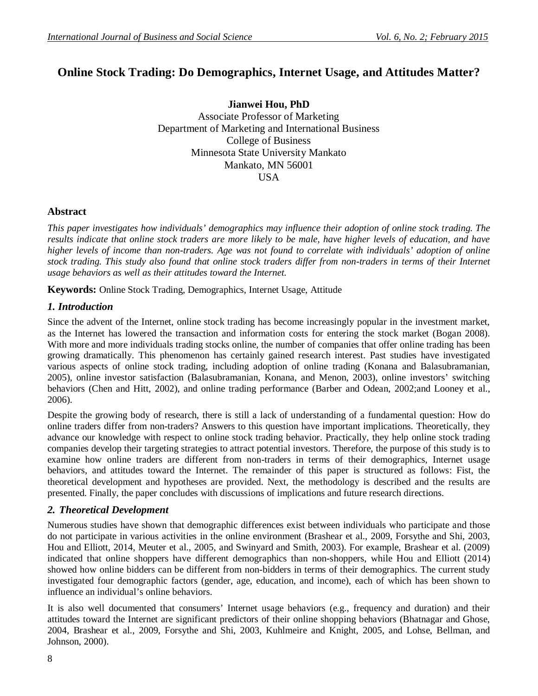# **Online Stock Trading: Do Demographics, Internet Usage, and Attitudes Matter?**

**Jianwei Hou, PhD** Associate Professor of Marketing Department of Marketing and International Business College of Business Minnesota State University Mankato Mankato, MN 56001 USA

### **Abstract**

*This paper investigates how individuals' demographics may influence their adoption of online stock trading. The results indicate that online stock traders are more likely to be male, have higher levels of education, and have higher levels of income than non-traders. Age was not found to correlate with individuals' adoption of online stock trading. This study also found that online stock traders differ from non-traders in terms of their Internet usage behaviors as well as their attitudes toward the Internet.*

**Keywords:** Online Stock Trading, Demographics, Internet Usage, Attitude

#### *1. Introduction*

Since the advent of the Internet, online stock trading has become increasingly popular in the investment market, as the Internet has lowered the transaction and information costs for entering the stock market (Bogan 2008). With more and more individuals trading stocks online, the number of companies that offer online trading has been growing dramatically. This phenomenon has certainly gained research interest. Past studies have investigated various aspects of online stock trading, including adoption of online trading (Konana and Balasubramanian, 2005), online investor satisfaction (Balasubramanian, Konana, and Menon, 2003), online investors' switching behaviors (Chen and Hitt, 2002), and online trading performance (Barber and Odean, 2002;and Looney et al., 2006).

Despite the growing body of research, there is still a lack of understanding of a fundamental question: How do online traders differ from non-traders? Answers to this question have important implications. Theoretically, they advance our knowledge with respect to online stock trading behavior. Practically, they help online stock trading companies develop their targeting strategies to attract potential investors. Therefore, the purpose of this study is to examine how online traders are different from non-traders in terms of their demographics, Internet usage behaviors, and attitudes toward the Internet. The remainder of this paper is structured as follows: Fist, the theoretical development and hypotheses are provided. Next, the methodology is described and the results are presented. Finally, the paper concludes with discussions of implications and future research directions.

### *2. Theoretical Development*

Numerous studies have shown that demographic differences exist between individuals who participate and those do not participate in various activities in the online environment (Brashear et al., 2009, Forsythe and Shi, 2003, Hou and Elliott, 2014, Meuter et al., 2005, and Swinyard and Smith, 2003). For example, Brashear et al. (2009) indicated that online shoppers have different demographics than non-shoppers, while Hou and Elliott (2014) showed how online bidders can be different from non-bidders in terms of their demographics. The current study investigated four demographic factors (gender, age, education, and income), each of which has been shown to influence an individual's online behaviors.

It is also well documented that consumers' Internet usage behaviors (e.g., frequency and duration) and their attitudes toward the Internet are significant predictors of their online shopping behaviors (Bhatnagar and Ghose, 2004, Brashear et al., 2009, Forsythe and Shi, 2003, Kuhlmeire and Knight, 2005, and Lohse, Bellman, and Johnson, 2000).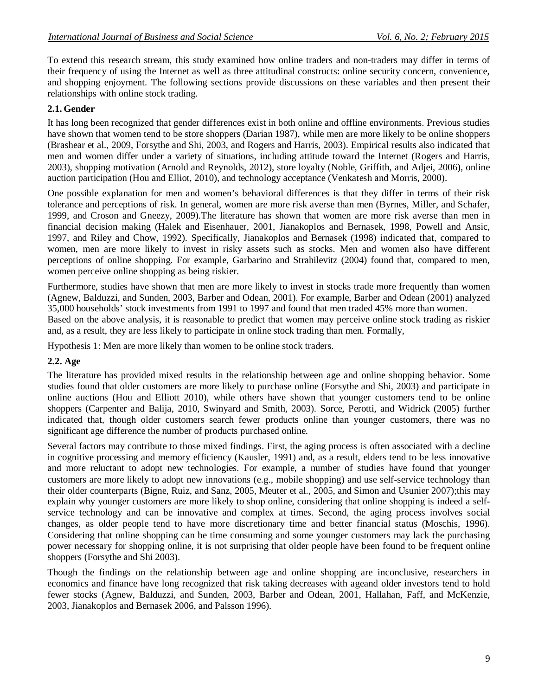To extend this research stream, this study examined how online traders and non-traders may differ in terms of their frequency of using the Internet as well as three attitudinal constructs: online security concern, convenience, and shopping enjoyment. The following sections provide discussions on these variables and then present their relationships with online stock trading.

## **2.1. Gender**

It has long been recognized that gender differences exist in both online and offline environments. Previous studies have shown that women tend to be store shoppers (Darian 1987), while men are more likely to be online shoppers (Brashear et al., 2009, Forsythe and Shi, 2003, and Rogers and Harris, 2003). Empirical results also indicated that men and women differ under a variety of situations, including attitude toward the Internet (Rogers and Harris, 2003), shopping motivation (Arnold and Reynolds, 2012), store loyalty (Noble, Griffith, and Adjei, 2006), online auction participation (Hou and Elliot, 2010), and technology acceptance (Venkatesh and Morris, 2000).

One possible explanation for men and women's behavioral differences is that they differ in terms of their risk tolerance and perceptions of risk. In general, women are more risk averse than men (Byrnes, Miller, and Schafer, 1999, and Croson and Gneezy, 2009).The literature has shown that women are more risk averse than men in financial decision making (Halek and Eisenhauer, 2001, Jianakoplos and Bernasek, 1998, Powell and Ansic, 1997, and Riley and Chow, 1992). Specifically, Jianakoplos and Bernasek (1998) indicated that, compared to women, men are more likely to invest in risky assets such as stocks. Men and women also have different perceptions of online shopping. For example, Garbarino and Strahilevitz (2004) found that, compared to men, women perceive online shopping as being riskier.

Furthermore, studies have shown that men are more likely to invest in stocks trade more frequently than women (Agnew, Balduzzi, and Sunden, 2003, Barber and Odean, 2001). For example, Barber and Odean (2001) analyzed 35,000 households' stock investments from 1991 to 1997 and found that men traded 45% more than women. Based on the above analysis, it is reasonable to predict that women may perceive online stock trading as riskier and, as a result, they are less likely to participate in online stock trading than men. Formally,

Hypothesis 1: Men are more likely than women to be online stock traders.

## **2.2. Age**

The literature has provided mixed results in the relationship between age and online shopping behavior. Some studies found that older customers are more likely to purchase online (Forsythe and Shi, 2003) and participate in online auctions (Hou and Elliott 2010), while others have shown that younger customers tend to be online shoppers (Carpenter and Balija, 2010, Swinyard and Smith, 2003). Sorce, Perotti, and Widrick (2005) further indicated that, though older customers search fewer products online than younger customers, there was no significant age difference the number of products purchased online.

Several factors may contribute to those mixed findings. First, the aging process is often associated with a decline in cognitive processing and memory efficiency (Kausler, 1991) and, as a result, elders tend to be less innovative and more reluctant to adopt new technologies. For example, a number of studies have found that younger customers are more likely to adopt new innovations (e.g., mobile shopping) and use self-service technology than their older counterparts (Bigne, Ruiz, and Sanz, 2005, Meuter et al., 2005, and Simon and Usunier 2007);this may explain why younger customers are more likely to shop online, considering that online shopping is indeed a selfservice technology and can be innovative and complex at times. Second, the aging process involves social changes, as older people tend to have more discretionary time and better financial status (Moschis, 1996). Considering that online shopping can be time consuming and some younger customers may lack the purchasing power necessary for shopping online, it is not surprising that older people have been found to be frequent online shoppers (Forsythe and Shi 2003).

Though the findings on the relationship between age and online shopping are inconclusive, researchers in economics and finance have long recognized that risk taking decreases with ageand older investors tend to hold fewer stocks (Agnew, Balduzzi, and Sunden, 2003, Barber and Odean, 2001, Hallahan, Faff, and McKenzie, 2003, Jianakoplos and Bernasek 2006, and Palsson 1996).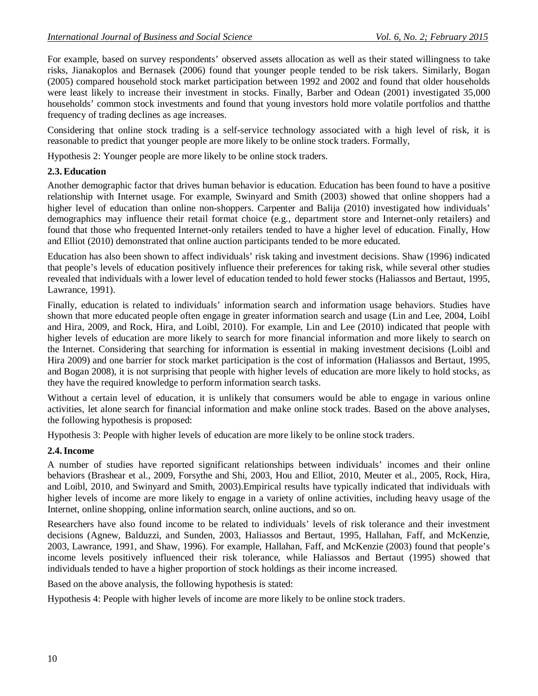For example, based on survey respondents' observed assets allocation as well as their stated willingness to take risks, Jianakoplos and Bernasek (2006) found that younger people tended to be risk takers. Similarly, Bogan (2005) compared household stock market participation between 1992 and 2002 and found that older households were least likely to increase their investment in stocks. Finally, Barber and Odean (2001) investigated 35,000 households' common stock investments and found that young investors hold more volatile portfolios and thatthe frequency of trading declines as age increases.

Considering that online stock trading is a self-service technology associated with a high level of risk, it is reasonable to predict that younger people are more likely to be online stock traders. Formally,

Hypothesis 2: Younger people are more likely to be online stock traders.

#### **2.3.Education**

Another demographic factor that drives human behavior is education. Education has been found to have a positive relationship with Internet usage. For example, Swinyard and Smith (2003) showed that online shoppers had a higher level of education than online non-shoppers. Carpenter and Balija (2010) investigated how individuals' demographics may influence their retail format choice (e.g., department store and Internet-only retailers) and found that those who frequented Internet-only retailers tended to have a higher level of education. Finally, How and Elliot (2010) demonstrated that online auction participants tended to be more educated.

Education has also been shown to affect individuals' risk taking and investment decisions. Shaw (1996) indicated that people's levels of education positively influence their preferences for taking risk, while several other studies revealed that individuals with a lower level of education tended to hold fewer stocks (Haliassos and Bertaut, 1995, Lawrance, 1991).

Finally, education is related to individuals' information search and information usage behaviors. Studies have shown that more educated people often engage in greater information search and usage (Lin and Lee, 2004, Loibl and Hira, 2009, and Rock, Hira, and Loibl, 2010). For example, Lin and Lee (2010) indicated that people with higher levels of education are more likely to search for more financial information and more likely to search on the Internet. Considering that searching for information is essential in making investment decisions (Loibl and Hira 2009) and one barrier for stock market participation is the cost of information (Haliassos and Bertaut, 1995, and Bogan 2008), it is not surprising that people with higher levels of education are more likely to hold stocks, as they have the required knowledge to perform information search tasks.

Without a certain level of education, it is unlikely that consumers would be able to engage in various online activities, let alone search for financial information and make online stock trades. Based on the above analyses, the following hypothesis is proposed:

Hypothesis 3: People with higher levels of education are more likely to be online stock traders.

#### **2.4.Income**

A number of studies have reported significant relationships between individuals' incomes and their online behaviors (Brashear et al., 2009, Forsythe and Shi, 2003, Hou and Elliot, 2010, Meuter et al., 2005, Rock, Hira, and Loibl, 2010, and Swinyard and Smith, 2003).Empirical results have typically indicated that individuals with higher levels of income are more likely to engage in a variety of online activities, including heavy usage of the Internet, online shopping, online information search, online auctions, and so on.

Researchers have also found income to be related to individuals' levels of risk tolerance and their investment decisions (Agnew, Balduzzi, and Sunden, 2003, Haliassos and Bertaut, 1995, Hallahan, Faff, and McKenzie, 2003, Lawrance, 1991, and Shaw, 1996). For example, Hallahan, Faff, and McKenzie (2003) found that people's income levels positively influenced their risk tolerance, while Haliassos and Bertaut (1995) showed that individuals tended to have a higher proportion of stock holdings as their income increased.

Based on the above analysis, the following hypothesis is stated:

Hypothesis 4: People with higher levels of income are more likely to be online stock traders.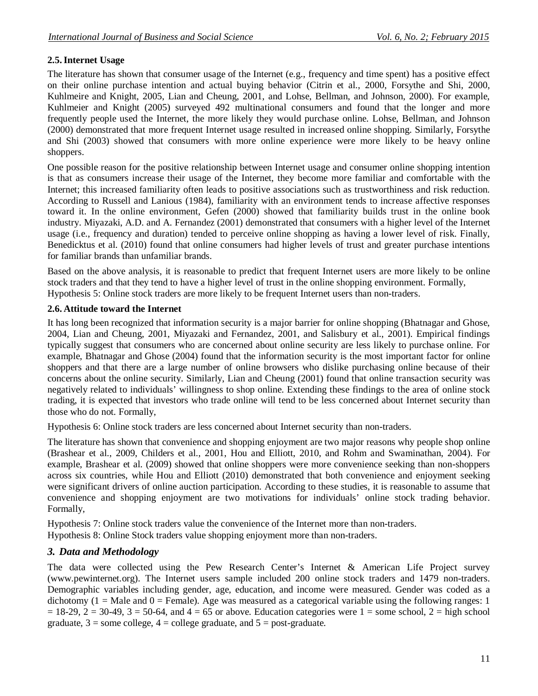## **2.5.Internet Usage**

The literature has shown that consumer usage of the Internet (e.g., frequency and time spent) has a positive effect on their online purchase intention and actual buying behavior (Citrin et al., 2000, Forsythe and Shi, 2000, Kuhlmeire and Knight, 2005, Lian and Cheung, 2001, and Lohse, Bellman, and Johnson, 2000). For example, Kuhlmeier and Knight (2005) surveyed 492 multinational consumers and found that the longer and more frequently people used the Internet, the more likely they would purchase online. Lohse, Bellman, and Johnson (2000) demonstrated that more frequent Internet usage resulted in increased online shopping. Similarly, Forsythe and Shi (2003) showed that consumers with more online experience were more likely to be heavy online shoppers.

One possible reason for the positive relationship between Internet usage and consumer online shopping intention is that as consumers increase their usage of the Internet, they become more familiar and comfortable with the Internet; this increased familiarity often leads to positive associations such as trustworthiness and risk reduction. According to Russell and Lanious (1984), familiarity with an environment tends to increase affective responses toward it. In the online environment, Gefen (2000) showed that familiarity builds trust in the online book industry. Miyazaki, A.D. and A. Fernandez (2001) demonstrated that consumers with a higher level of the Internet usage (i.e., frequency and duration) tended to perceive online shopping as having a lower level of risk. Finally, Benedicktus et al. (2010) found that online consumers had higher levels of trust and greater purchase intentions for familiar brands than unfamiliar brands.

Based on the above analysis, it is reasonable to predict that frequent Internet users are more likely to be online stock traders and that they tend to have a higher level of trust in the online shopping environment. Formally, Hypothesis 5: Online stock traders are more likely to be frequent Internet users than non-traders.

### **2.6. Attitude toward the Internet**

It has long been recognized that information security is a major barrier for online shopping (Bhatnagar and Ghose, 2004, Lian and Cheung, 2001, Miyazaki and Fernandez, 2001, and Salisbury et al., 2001). Empirical findings typically suggest that consumers who are concerned about online security are less likely to purchase online. For example, Bhatnagar and Ghose (2004) found that the information security is the most important factor for online shoppers and that there are a large number of online browsers who dislike purchasing online because of their concerns about the online security. Similarly, Lian and Cheung (2001) found that online transaction security was negatively related to individuals' willingness to shop online. Extending these findings to the area of online stock trading, it is expected that investors who trade online will tend to be less concerned about Internet security than those who do not. Formally,

Hypothesis 6: Online stock traders are less concerned about Internet security than non-traders.

The literature has shown that convenience and shopping enjoyment are two major reasons why people shop online (Brashear et al., 2009, Childers et al., 2001, Hou and Elliott, 2010, and Rohm and Swaminathan, 2004). For example, Brashear et al. (2009) showed that online shoppers were more convenience seeking than non-shoppers across six countries, while Hou and Elliott (2010) demonstrated that both convenience and enjoyment seeking were significant drivers of online auction participation. According to these studies, it is reasonable to assume that convenience and shopping enjoyment are two motivations for individuals' online stock trading behavior. Formally,

Hypothesis 7: Online stock traders value the convenience of the Internet more than non-traders.

Hypothesis 8: Online Stock traders value shopping enjoyment more than non-traders.

## *3. Data and Methodology*

The data were collected using the Pew Research Center's Internet & American Life Project survey (www.pewinternet.org). The Internet users sample included 200 online stock traders and 1479 non-traders. Demographic variables including gender, age, education, and income were measured. Gender was coded as a dichotomy (1 = Male and 0 = Female). Age was measured as a categorical variable using the following ranges: 1  $= 18-29$ ,  $2 = 30-49$ ,  $3 = 50-64$ , and  $4 = 65$  or above. Education categories were  $1 =$  some school,  $2 =$  high school graduate,  $3 =$ some college,  $4 =$ college graduate, and  $5 =$  post-graduate.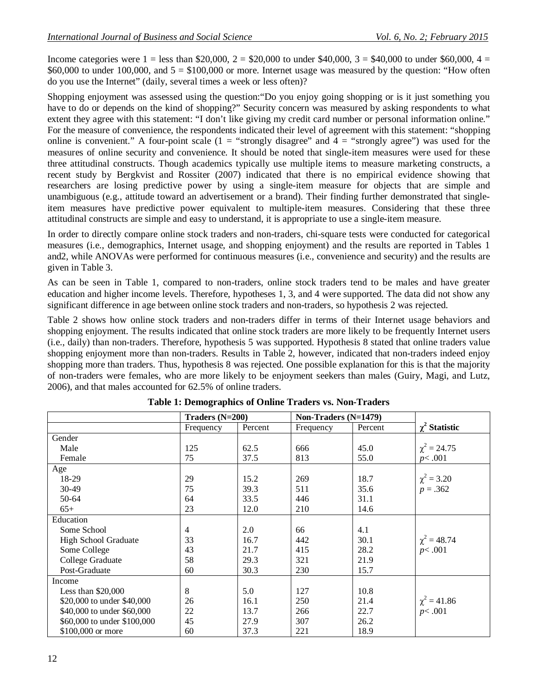Income categories were  $1 =$  less than \$20,000,  $2 =$  \$20,000 to under \$40,000,  $3 =$  \$40,000 to under \$60,000,  $4 =$ \$60,000 to under 100,000, and  $5 = $100,000$  or more. Internet usage was measured by the question: "How often do you use the Internet" (daily, several times a week or less often)?

Shopping enjoyment was assessed using the question:"Do you enjoy going shopping or is it just something you have to do or depends on the kind of shopping?" Security concern was measured by asking respondents to what extent they agree with this statement: "I don't like giving my credit card number or personal information online." For the measure of convenience, the respondents indicated their level of agreement with this statement: "shopping online is convenient." A four-point scale (1 = "strongly disagree" and  $4 =$  "strongly agree") was used for the measures of online security and convenience. It should be noted that single-item measures were used for these three attitudinal constructs. Though academics typically use multiple items to measure marketing constructs, a recent study by Bergkvist and Rossiter (2007) indicated that there is no empirical evidence showing that researchers are losing predictive power by using a single-item measure for objects that are simple and unambiguous (e.g., attitude toward an advertisement or a brand). Their finding further demonstrated that singleitem measures have predictive power equivalent to multiple-item measures. Considering that these three attitudinal constructs are simple and easy to understand, it is appropriate to use a single-item measure.

In order to directly compare online stock traders and non-traders, chi-square tests were conducted for categorical measures (i.e., demographics, Internet usage, and shopping enjoyment) and the results are reported in Tables 1 and2, while ANOVAs were performed for continuous measures (i.e., convenience and security) and the results are given in Table 3.

As can be seen in Table 1, compared to non-traders, online stock traders tend to be males and have greater education and higher income levels. Therefore, hypotheses 1, 3, and 4 were supported. The data did not show any significant difference in age between online stock traders and non-traders, so hypothesis 2 was rejected.

Table 2 shows how online stock traders and non-traders differ in terms of their Internet usage behaviors and shopping enjoyment. The results indicated that online stock traders are more likely to be frequently Internet users (i.e., daily) than non-traders. Therefore, hypothesis 5 was supported. Hypothesis 8 stated that online traders value shopping enjoyment more than non-traders. Results in Table 2, however, indicated that non-traders indeed enjoy shopping more than traders. Thus, hypothesis 8 was rejected. One possible explanation for this is that the majority of non-traders were females, who are more likely to be enjoyment seekers than males (Guiry, Magi, and Lutz, 2006), and that males accounted for 62.5% of online traders.

| Tuble 11 Demographics of Omine Truders 19411011 Truders |                   |         |                      |         |                      |  |  |
|---------------------------------------------------------|-------------------|---------|----------------------|---------|----------------------|--|--|
|                                                         | Traders $(N=200)$ |         | Non-Traders (N=1479) |         |                      |  |  |
|                                                         | Frequency         | Percent | Frequency            | Percent | $\gamma^2$ Statistic |  |  |
| Gender                                                  |                   |         |                      |         |                      |  |  |
| Male                                                    | 125               | 62.5    | 666                  | 45.0    | $\chi^2 = 24.75$     |  |  |
| Female                                                  | 75                | 37.5    | 813                  | 55.0    | p<.001               |  |  |
| Age                                                     |                   |         |                      |         |                      |  |  |
| 18-29                                                   | 29                | 15.2    | 269                  | 18.7    | $\chi^2 = 3.20$      |  |  |
| $30-49$                                                 | 75                | 39.3    | 511                  | 35.6    | $p = .362$           |  |  |
| 50-64                                                   | 64                | 33.5    | 446                  | 31.1    |                      |  |  |
| $65+$                                                   | 23                | 12.0    | 210                  | 14.6    |                      |  |  |
| Education                                               |                   |         |                      |         |                      |  |  |
| Some School                                             | $\overline{4}$    | 2.0     | 66                   | 4.1     |                      |  |  |
| <b>High School Graduate</b>                             | 33                | 16.7    | 442                  | 30.1    | $\chi^2 = 48.74$     |  |  |
| Some College                                            | 43                | 21.7    | 415                  | 28.2    | p<.001               |  |  |
| College Graduate                                        | 58                | 29.3    | 321                  | 21.9    |                      |  |  |
| Post-Graduate                                           | 60                | 30.3    | 230                  | 15.7    |                      |  |  |
| Income                                                  |                   |         |                      |         |                      |  |  |
| Less than $$20,000$                                     | 8                 | 5.0     | 127                  | 10.8    |                      |  |  |
| \$20,000 to under \$40,000                              | 26                | 16.1    | 250                  | 21.4    | $\chi^2 = 41.86$     |  |  |
| \$40,000 to under \$60,000                              | 22                | 13.7    | 266                  | 22.7    | p<.001               |  |  |
| \$60,000 to under \$100,000                             | 45                | 27.9    | 307                  | 26.2    |                      |  |  |
| \$100,000 or more                                       | 60                | 37.3    | 221                  | 18.9    |                      |  |  |

| Table 1: Demographics of Online Traders vs. Non-Traders |  |  |
|---------------------------------------------------------|--|--|
|---------------------------------------------------------|--|--|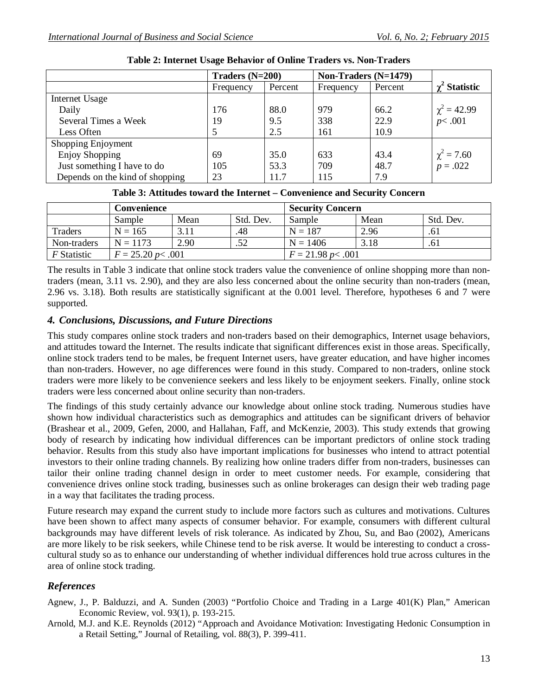|                                 | Traders $(N=200)$ |         | Non-Traders $(N=1479)$ |         |                               |
|---------------------------------|-------------------|---------|------------------------|---------|-------------------------------|
|                                 | Frequency         | Percent | Frequency              | Percent | $\gamma^2$ Statistic          |
| Internet Usage                  |                   |         |                        |         |                               |
| Daily                           | 176               | 88.0    | 979                    | 66.2    | $\chi^2 = 42.99$              |
| Several Times a Week            | 19                | 9.5     | 338                    | 22.9    | p<.001                        |
| Less Often                      | 5                 | 2.5     | 161                    | 10.9    |                               |
| Shopping Enjoyment              |                   |         |                        |         |                               |
| <b>Enjoy Shopping</b>           | 69                | 35.0    | 633                    | 43.4    | $\chi^2 = 7.60$<br>$p = .022$ |
| Just something I have to do     | 105               | 53.3    | 709                    | 48.7    |                               |
| Depends on the kind of shopping | 23                | 11.7    | 115                    | 7.9     |                               |

**Table 2: Internet Usage Behavior of Online Traders vs. Non-Traders**

| Table 3: Attitudes toward the Internet – Convenience and Security Concern |  |  |  |
|---------------------------------------------------------------------------|--|--|--|
|---------------------------------------------------------------------------|--|--|--|

|                    | Convenience                |      |                         | <b>Security Concern</b> |      |           |
|--------------------|----------------------------|------|-------------------------|-------------------------|------|-----------|
|                    | Sample                     | Mean | Std. Dev.               | Sample                  | Mean | Std. Dev. |
| Traders            | $N = 165$                  |      | .48                     | $N = 187$               | 2.96 | .61       |
| Non-traders        | $N = 1173$                 | 2.90 | .52                     | $N = 1406$              | 3.18 | .61       |
| <i>F</i> Statistic | $F = 25.20 \, p \leq .001$ |      | $F = 21.98 p \le 0.001$ |                         |      |           |

The results in Table 3 indicate that online stock traders value the convenience of online shopping more than nontraders (mean, 3.11 vs. 2.90), and they are also less concerned about the online security than non-traders (mean, 2.96 vs. 3.18). Both results are statistically significant at the 0.001 level. Therefore, hypotheses 6 and 7 were supported.

### *4. Conclusions, Discussions, and Future Directions*

This study compares online stock traders and non-traders based on their demographics, Internet usage behaviors, and attitudes toward the Internet. The results indicate that significant differences exist in those areas. Specifically, online stock traders tend to be males, be frequent Internet users, have greater education, and have higher incomes than non-traders. However, no age differences were found in this study. Compared to non-traders, online stock traders were more likely to be convenience seekers and less likely to be enjoyment seekers. Finally, online stock traders were less concerned about online security than non-traders.

The findings of this study certainly advance our knowledge about online stock trading. Numerous studies have shown how individual characteristics such as demographics and attitudes can be significant drivers of behavior (Brashear et al., 2009, Gefen, 2000, and Hallahan, Faff, and McKenzie, 2003). This study extends that growing body of research by indicating how individual differences can be important predictors of online stock trading behavior. Results from this study also have important implications for businesses who intend to attract potential investors to their online trading channels. By realizing how online traders differ from non-traders, businesses can tailor their online trading channel design in order to meet customer needs. For example, considering that convenience drives online stock trading, businesses such as online brokerages can design their web trading page in a way that facilitates the trading process.

Future research may expand the current study to include more factors such as cultures and motivations. Cultures have been shown to affect many aspects of consumer behavior. For example, consumers with different cultural backgrounds may have different levels of risk tolerance. As indicated by Zhou, Su, and Bao (2002), Americans are more likely to be risk seekers, while Chinese tend to be risk averse. It would be interesting to conduct a crosscultural study so as to enhance our understanding of whether individual differences hold true across cultures in the area of online stock trading.

## *References*

- Agnew, J., P. Balduzzi, and A. Sunden (2003) "Portfolio Choice and Trading in a Large 401(K) Plan," American Economic Review, vol. 93(1), p. 193-215.
- Arnold, M.J. and K.E. Reynolds (2012) "Approach and Avoidance Motivation: Investigating Hedonic Consumption in a Retail Setting," Journal of Retailing, vol. 88(3), P. 399-411.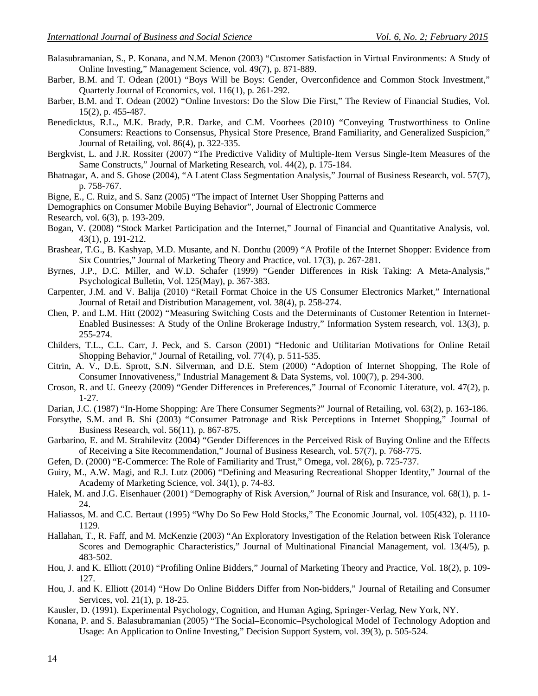- Balasubramanian, S., P. Konana, and N.M. Menon (2003) "Customer Satisfaction in Virtual Environments: A Study of Online Investing," Management Science, vol. 49(7), p. 871-889.
- Barber, B.M. and T. Odean (2001) "Boys Will be Boys: Gender, Overconfidence and Common Stock Investment," Quarterly Journal of Economics, vol. 116(1), p. 261-292.
- Barber, B.M. and T. Odean (2002) "Online Investors: Do the Slow Die First," The Review of Financial Studies, Vol. 15(2), p. 455-487.
- Benedicktus, R.L., M.K. Brady, P.R. Darke, and C.M. Voorhees (2010) "Conveying Trustworthiness to Online Consumers: Reactions to Consensus, Physical Store Presence, Brand Familiarity, and Generalized Suspicion," Journal of Retailing, vol. 86(4), p. 322-335.
- Bergkvist, L. and J.R. Rossiter (2007) "The Predictive Validity of Multiple-Item Versus Single-Item Measures of the Same Constructs," Journal of Marketing Research, vol. 44(2), p. 175-184.
- Bhatnagar, A. and S. Ghose (2004), "A Latent Class Segmentation Analysis," Journal of Business Research, vol. 57(7), p. 758-767.
- Bigne, E., C. Ruiz, and S. Sanz (2005) "The impact of Internet User Shopping Patterns and
- Demographics on Consumer Mobile Buying Behavior", Journal of Electronic Commerce

Research, vol. 6(3), p. 193-209.

- Bogan, V. (2008) "Stock Market Participation and the Internet," Journal of Financial and Quantitative Analysis, vol. 43(1), p. 191-212.
- Brashear, T.G., B. Kashyap, M.D. Musante, and N. Donthu (2009) "A Profile of the Internet Shopper: Evidence from Six Countries," Journal of Marketing Theory and Practice, vol. 17(3), p. 267-281.
- Byrnes, J.P., D.C. Miller, and W.D. Schafer (1999) "Gender Differences in Risk Taking: A Meta-Analysis," Psychological Bulletin, Vol. 125(May), p. 367-383.
- Carpenter, J.M. and V. Balija (2010) "Retail Format Choice in the US Consumer Electronics Market," International Journal of Retail and Distribution Management, vol. 38(4), p. 258-274.
- Chen, P. and L.M. Hitt (2002) "Measuring Switching Costs and the Determinants of Customer Retention in Internet-Enabled Businesses: A Study of the Online Brokerage Industry," Information System research, vol. 13(3), p. 255-274.
- Childers, T.L., C.L. Carr, J. Peck, and S. Carson (2001) "Hedonic and Utilitarian Motivations for Online Retail Shopping Behavior," Journal of Retailing, vol. 77(4), p. 511-535.
- Citrin, A. V., D.E. Sprott, S.N. Silverman, and D.E. Stem (2000) "Adoption of Internet Shopping, The Role of Consumer Innovativeness," Industrial Management & Data Systems, vol. 100(7), p. 294-300.
- Croson, R. and U. Gneezy (2009) "Gender Differences in Preferences," Journal of Economic Literature, vol. 47(2), p. 1-27.
- Darian, J.C. (1987) "In-Home Shopping: Are There Consumer Segments?" Journal of Retailing, vol. 63(2), p. 163-186.
- Forsythe, S.M. and B. Shi (2003) "Consumer Patronage and Risk Perceptions in Internet Shopping," Journal of Business Research, vol. 56(11), p. 867-875.
- Garbarino, E. and M. Strahilevitz (2004) "Gender Differences in the Perceived Risk of Buying Online and the Effects of Receiving a Site Recommendation," Journal of Business Research, vol. 57(7), p. 768-775.
- Gefen, D. (2000) "E-Commerce: The Role of Familiarity and Trust," Omega, vol. 28(6), p. 725-737.
- Guiry, M., A.W. Magi, and R.J. Lutz (2006) "Defining and Measuring Recreational Shopper Identity," Journal of the Academy of Marketing Science, vol. 34(1), p. 74-83.
- Halek, M. and J.G. Eisenhauer (2001) "Demography of Risk Aversion," Journal of Risk and Insurance, vol. 68(1), p. 1- 24.
- Haliassos, M. and C.C. Bertaut (1995) "Why Do So Few Hold Stocks," The Economic Journal, vol. 105(432), p. 1110- 1129.
- Hallahan, T., R. Faff, and M. McKenzie (2003) "An Exploratory Investigation of the Relation between Risk Tolerance Scores and Demographic Characteristics," Journal of Multinational Financial Management, vol. 13(4/5), p. 483-502.
- Hou, J. and K. Elliott (2010) "Profiling Online Bidders," Journal of Marketing Theory and Practice, Vol. 18(2), p. 109- 127.
- Hou, J. and K. Elliott (2014) "How Do Online Bidders Differ from Non-bidders," Journal of Retailing and Consumer Services, vol. 21(1), p. 18-25.
- Kausler, D. (1991). Experimental Psychology, Cognition, and Human Aging, Springer-Verlag, New York, NY.
- Konana, P. and S. Balasubramanian (2005) "The Social–Economic–Psychological Model of Technology Adoption and Usage: An Application to Online Investing," Decision Support System, vol. 39(3), p. 505-524.